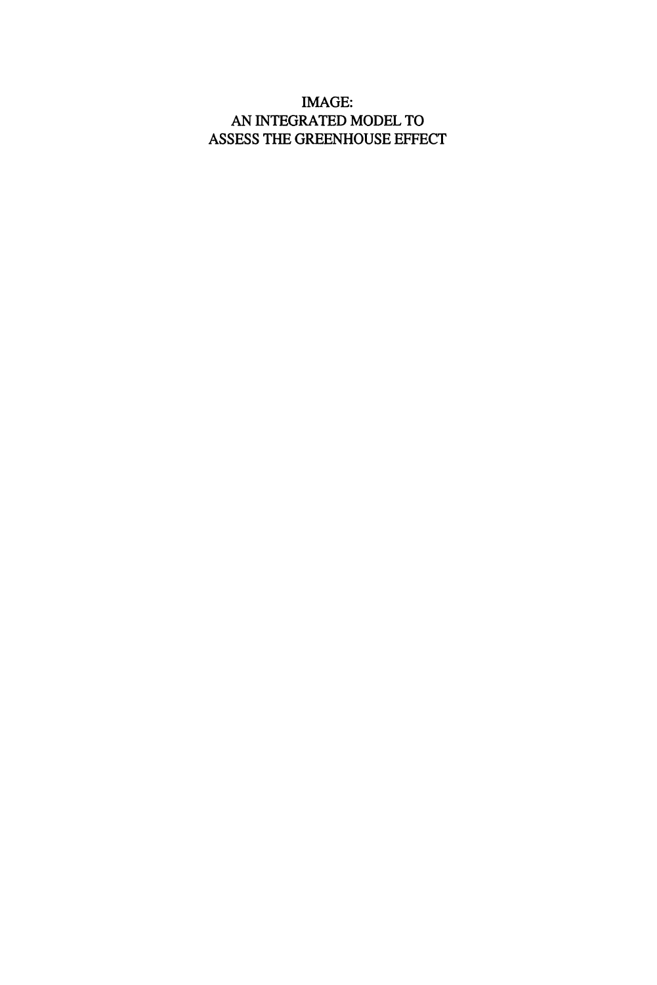#### IMAGE: AN INTEGRATED MODEL TO ASSESS THE GREENHOUSE EFFECT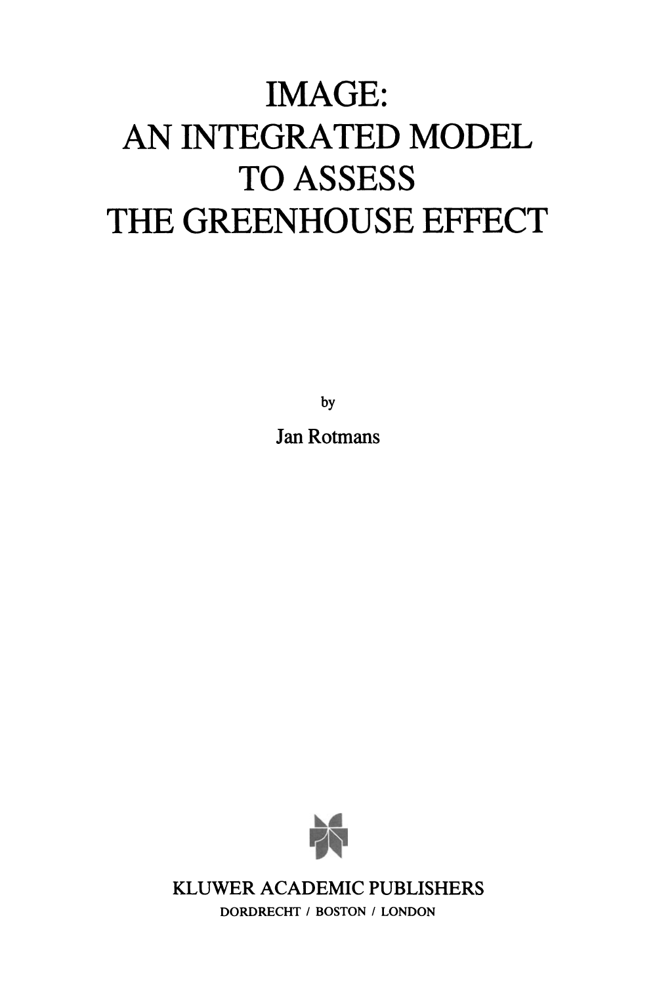# **IMAGE: AN INTEGRATED MODEL**  TO ASSESS **THE GREENHOUSE EFFECT**

by

Jan Rotmans



KLUWER ACADEMIC PUBLISHERS

DORDRECHT *I* BOSTON *I* LONDON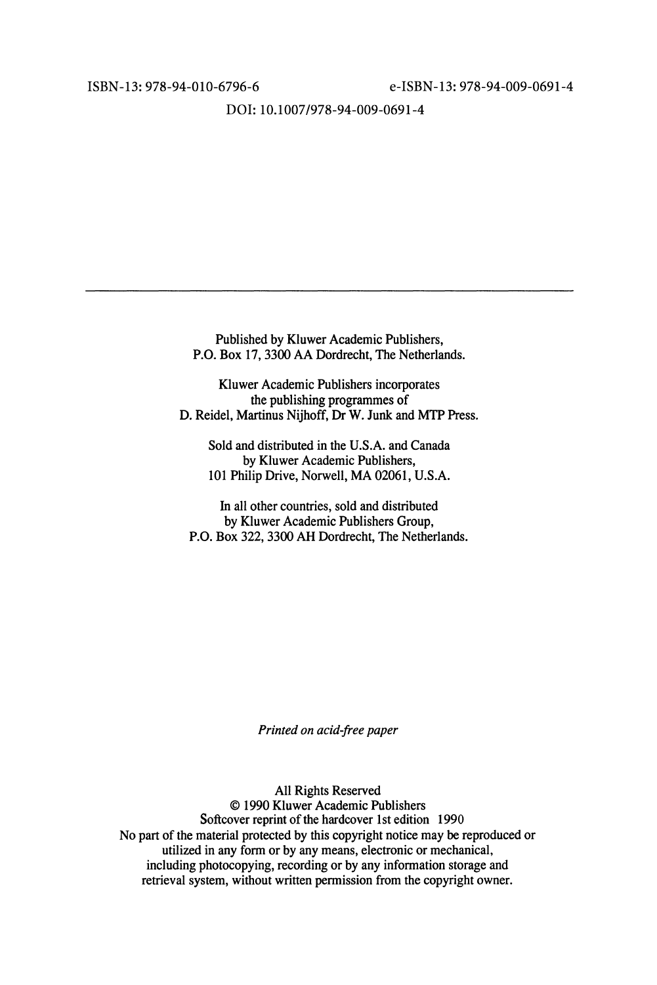ISBN-l3: 978-94-010-6796-6 e-ISBN-13: 978-94-009-0691-4

DOl: 10.1007/978-94-009-0691-4

Published by Kluwer Academic Publishers, P.O. Box 17,3300 AA Dordrecht, The Netherlands.

K1uwer Academic Publishers incorporates the publishing programmes of D. Reidel, Martinus Nijhoff, Dr W. Junk and MTP Press.

Sold and distributed in the U.S.A. and Canada by Kluwer Academic Publishers, 101 Philip Drive, Norwell, MA 02061, U.S.A.

In all other countries, sold and distributed by Kluwer Academic Publishers Group, P.O. Box 322, 3300 AH Dordrecht, The Netherlands.

*Printed on acid-free paper* 

All Rights Reserved © 1990 Kluwer Academic Publishers Softcover reprint of the hardcover 1st edition 1990 No part of the material protected by this copyright notice may be reproduced or utilized in any form or by any means, electronic or mechanical, including photocopying, recording or by any information storage and retrieval system, without written permission from the copyright owner.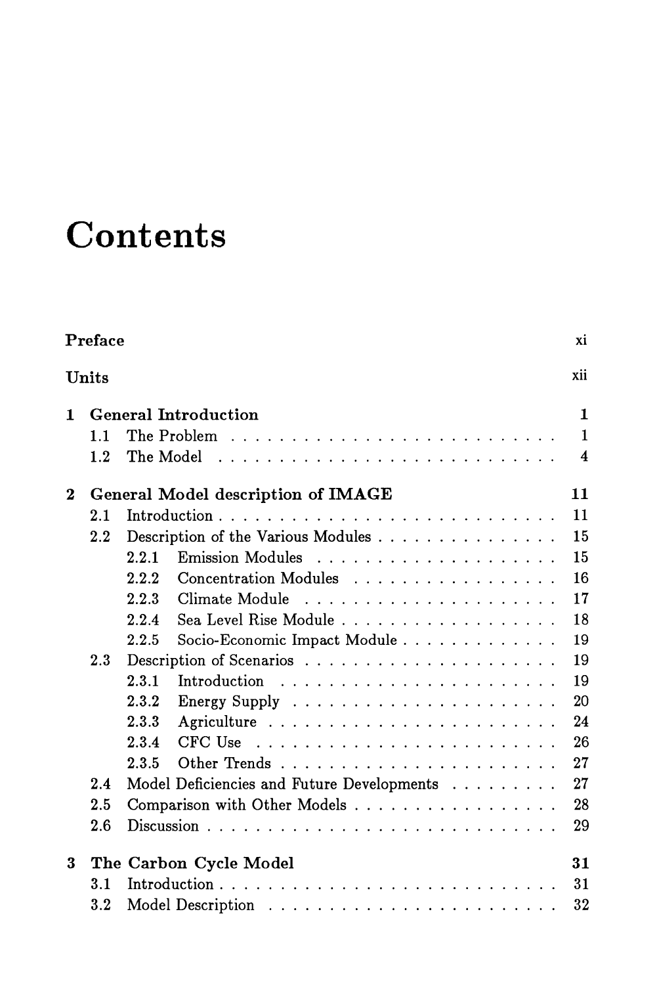## **Contents**

|                                  | Preface<br>xi |                                                  |                         |  |  |  |  |  |  |  |  |  |
|----------------------------------|---------------|--------------------------------------------------|-------------------------|--|--|--|--|--|--|--|--|--|
|                                  | xii<br>Units  |                                                  |                         |  |  |  |  |  |  |  |  |  |
| <b>General Introduction</b><br>1 |               |                                                  |                         |  |  |  |  |  |  |  |  |  |
|                                  | 1.1           |                                                  | $\mathbf{1}$            |  |  |  |  |  |  |  |  |  |
|                                  | 1.2           | The Model                                        | $\overline{\mathbf{4}}$ |  |  |  |  |  |  |  |  |  |
| $\bf{2}$                         |               | 11<br>General Model description of IMAGE         |                         |  |  |  |  |  |  |  |  |  |
|                                  | 2.1           | 11                                               |                         |  |  |  |  |  |  |  |  |  |
|                                  | 2.2           | Description of the Various Modules               | 15                      |  |  |  |  |  |  |  |  |  |
|                                  |               | 15<br>2.2.1                                      |                         |  |  |  |  |  |  |  |  |  |
|                                  |               | 16<br>Concentration Modules<br>2.2.2             |                         |  |  |  |  |  |  |  |  |  |
|                                  |               | Climate Module<br>2.2.3                          | 17                      |  |  |  |  |  |  |  |  |  |
|                                  |               | 18<br>Sea Level Rise Module<br>2.2.4             |                         |  |  |  |  |  |  |  |  |  |
|                                  |               | 2.2.5<br>Socio-Economic Impact Module<br>19      |                         |  |  |  |  |  |  |  |  |  |
|                                  | 2.3           |                                                  | 19                      |  |  |  |  |  |  |  |  |  |
|                                  |               | 2.3.1                                            | 19                      |  |  |  |  |  |  |  |  |  |
|                                  |               | 2.3.2                                            | 20                      |  |  |  |  |  |  |  |  |  |
|                                  |               | 2.3.3                                            | 24                      |  |  |  |  |  |  |  |  |  |
|                                  |               | 2.3.4                                            | 26                      |  |  |  |  |  |  |  |  |  |
|                                  |               | 27<br>2.3.5                                      |                         |  |  |  |  |  |  |  |  |  |
|                                  | 2.4           | Model Deficiencies and Future Developments<br>27 |                         |  |  |  |  |  |  |  |  |  |
|                                  | 2.5           | Comparison with Other Models                     | 28                      |  |  |  |  |  |  |  |  |  |
|                                  | 2.6           |                                                  | 29                      |  |  |  |  |  |  |  |  |  |
| 3                                |               | The Carbon Cycle Model                           | 31                      |  |  |  |  |  |  |  |  |  |
|                                  | 3.1           |                                                  | 31                      |  |  |  |  |  |  |  |  |  |
|                                  | $3.2\,$       |                                                  | 32                      |  |  |  |  |  |  |  |  |  |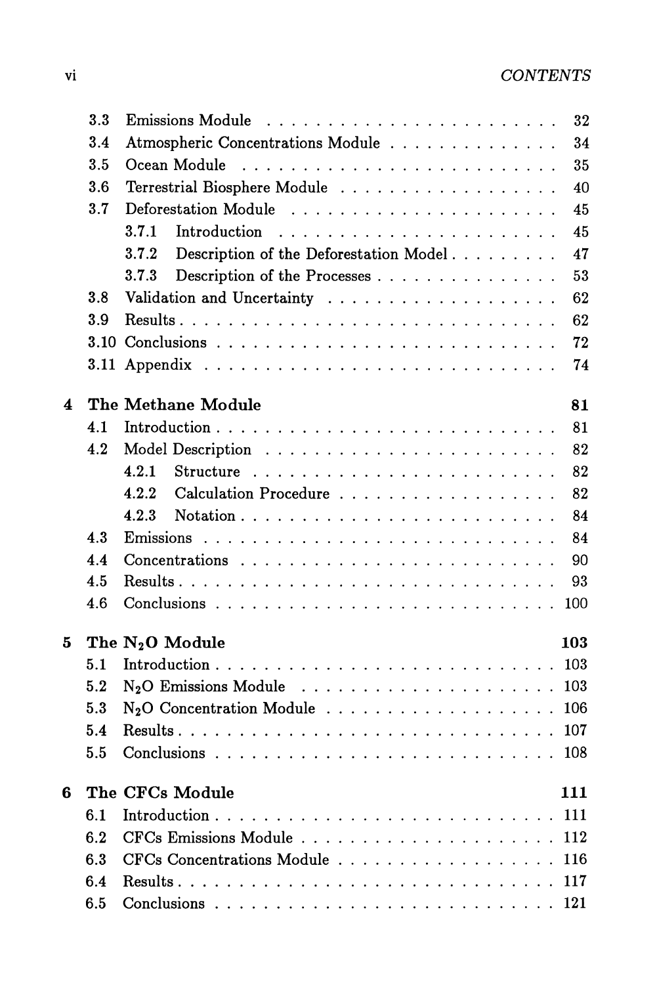|   | 3.3 | <b>Emissions Module</b><br>32                         |
|---|-----|-------------------------------------------------------|
|   | 3.4 | Atmospheric Concentrations Module<br>34               |
|   | 3.5 | 35<br>Ocean Module                                    |
|   | 3.6 | Terrestrial Biosphere Module<br>40                    |
|   | 3.7 | 45                                                    |
|   |     | 3.7.1<br>45<br>Introduction                           |
|   |     | Description of the Deforestation Model<br>47<br>3.7.2 |
|   |     | 53<br>3.7.3<br>Description of the Processes           |
|   | 3.8 | 62                                                    |
|   | 3.9 | 62                                                    |
|   |     | 72                                                    |
|   |     | 74                                                    |
|   |     |                                                       |
| 4 |     | The Methane Module<br>81                              |
|   | 4.1 | 81                                                    |
|   | 4.2 | 82                                                    |
|   |     | 4.2.1<br>82                                           |
|   |     | 82<br>Calculation Procedure<br>422                    |
|   |     | 4.2.3<br>84                                           |
|   | 4.3 | 84                                                    |
|   | 4.4 | 90                                                    |
|   | 4.5 | 93                                                    |
|   | 4.6 | 100                                                   |
| 5 |     | The N <sub>2</sub> O Module<br>103                    |
|   | 5.1 |                                                       |
|   | 5.2 |                                                       |
|   | 5.3 |                                                       |
|   | 5.4 |                                                       |
|   | 5.5 |                                                       |
|   |     |                                                       |
| 6 |     | The CFCs Module<br>111                                |
|   | 6.1 |                                                       |
|   | 6.2 | 112                                                   |
|   | 6.3 | CFCs Concentrations Module<br>116                     |
|   | 6.4 | 117                                                   |
|   | 6.5 | 121                                                   |
|   |     |                                                       |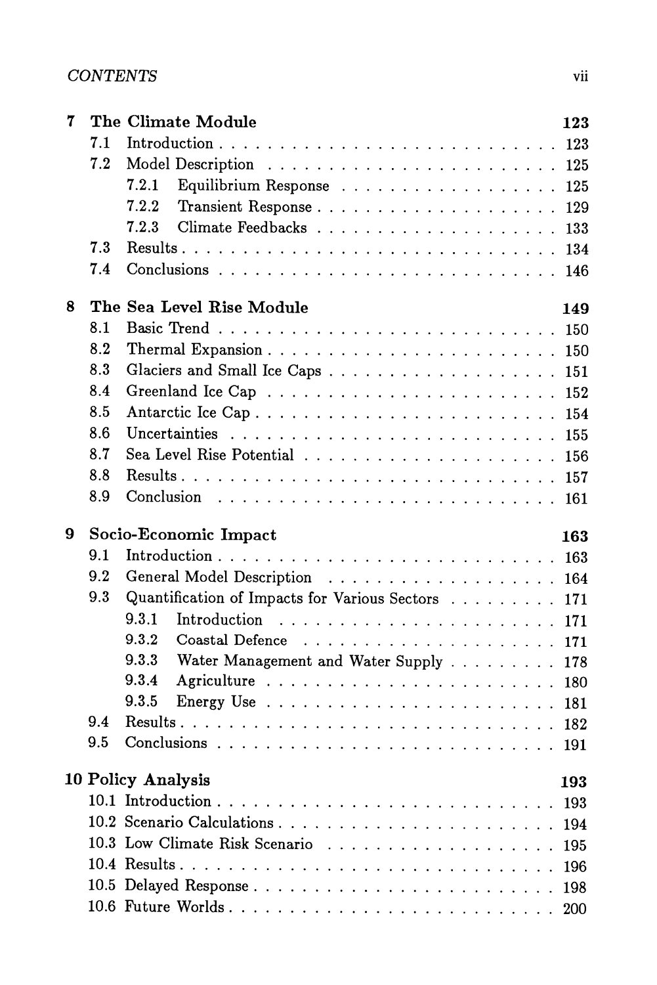| 7 |     | The Climate Module                                  | 123        |
|---|-----|-----------------------------------------------------|------------|
|   | 7.1 |                                                     | 123        |
|   | 7.2 |                                                     |            |
|   |     | 7.2.1<br>Equilibrium Response 125                   |            |
|   |     | 7.2.2                                               | 129        |
|   |     | 7.2.3                                               | 133        |
|   | 7.3 |                                                     | 134        |
|   | 7.4 |                                                     |            |
| 8 |     | The Sea Level Rise Module                           | 149        |
|   | 8.1 |                                                     |            |
|   | 8.2 |                                                     |            |
|   | 8.3 |                                                     | 151        |
|   | 8.4 |                                                     | 152        |
|   | 8.5 |                                                     | 154        |
|   | 8.6 |                                                     | 155        |
|   | 8.7 |                                                     | 156        |
|   | 8.8 |                                                     | 157        |
|   | 8.9 |                                                     |            |
|   |     |                                                     |            |
| 9 |     |                                                     |            |
|   | 9.1 | Socio-Economic Impact                               | 163        |
|   | 9.2 |                                                     |            |
|   | 9.3 |                                                     | 164        |
|   |     | Quantification of Impacts for Various Sectors       | 171        |
|   |     | 9.3.1<br>9.3.2                                      | 171        |
|   |     | Coastal Defence                                     | 171        |
|   |     | 9.3.3<br>Water Management and Water Supply<br>9.3.4 | 178        |
|   |     | 9.3.5                                               | 180        |
|   | 9.4 |                                                     | 181        |
|   | 9.5 |                                                     | 182<br>191 |
|   |     |                                                     | 193        |
|   |     | 10 Policy Analysis                                  |            |
|   |     |                                                     | 193        |
|   |     | 10.2 Scenario Calculations                          | 194        |
|   |     |                                                     | 195        |
|   |     |                                                     | 196<br>198 |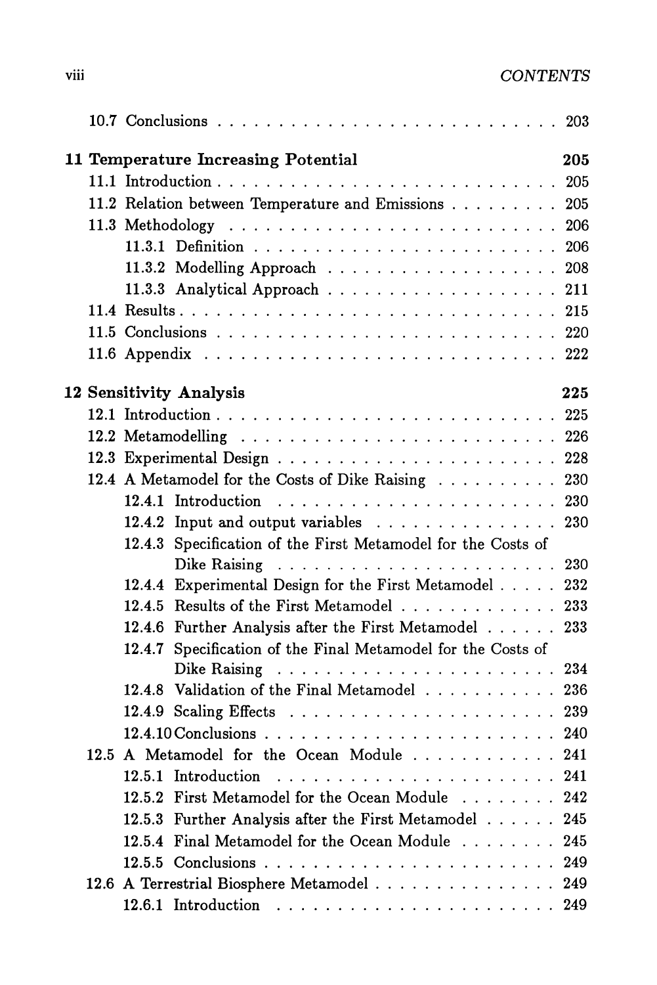|  | 11 Temperature Increasing Potential                             | 205 |
|--|-----------------------------------------------------------------|-----|
|  |                                                                 |     |
|  | 11.2 Relation between Temperature and Emissions 205             |     |
|  |                                                                 |     |
|  |                                                                 |     |
|  |                                                                 |     |
|  |                                                                 |     |
|  |                                                                 |     |
|  |                                                                 |     |
|  |                                                                 |     |
|  |                                                                 |     |
|  | 12 Sensitivity Analysis                                         | 225 |
|  |                                                                 |     |
|  |                                                                 |     |
|  |                                                                 |     |
|  | 12.4 A Metamodel for the Costs of Dike Raising 230              |     |
|  |                                                                 |     |
|  | 12.4.2 Input and output variables 230                           |     |
|  | Specification of the First Metamodel for the Costs of<br>12.4.3 |     |
|  | 12.4.4 Experimental Design for the First Metamodel 232          |     |
|  | 12.4.5 Results of the First Metamodel 233                       |     |
|  | 12.4.6 Further Analysis after the First Metamodel               | 233 |
|  | Specification of the Final Metamodel for the Costs of<br>12.4.7 |     |
|  |                                                                 |     |
|  | 12.4.8 Validation of the Final Metamodel 236                    |     |
|  |                                                                 |     |
|  |                                                                 |     |
|  | 12.5 A Metamodel for the Ocean Module 241                       |     |
|  |                                                                 | 241 |
|  | First Metamodel for the Ocean Module<br>12.5.2                  | 242 |
|  | Further Analysis after the First Metamodel<br>12.5.3            | 245 |
|  | 12.5.4 Final Metamodel for the Ocean Module                     | 245 |
|  |                                                                 | 249 |
|  | 12.6 A Terrestrial Biosphere Metamodel                          | 249 |
|  |                                                                 | 249 |
|  |                                                                 |     |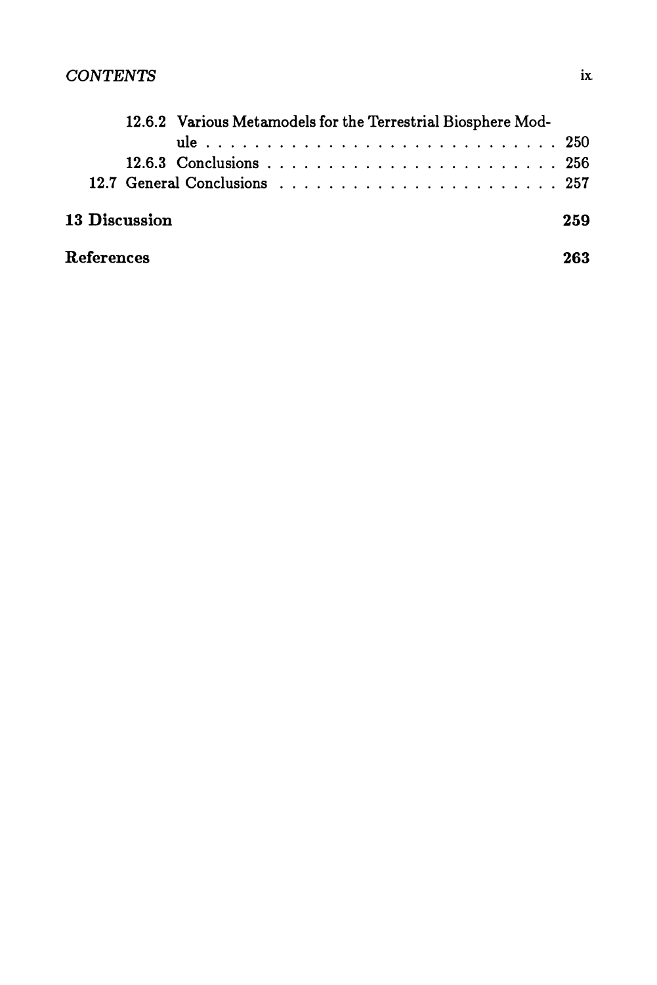|                      | 12.6.2 Various Metamodels for the Terrestrial Biosphere Mod- |  |  |  |  |  |  |  |  |  |  |  |  |  |  |  |  |  |  |  |     |  |
|----------------------|--------------------------------------------------------------|--|--|--|--|--|--|--|--|--|--|--|--|--|--|--|--|--|--|--|-----|--|
|                      |                                                              |  |  |  |  |  |  |  |  |  |  |  |  |  |  |  |  |  |  |  |     |  |
|                      |                                                              |  |  |  |  |  |  |  |  |  |  |  |  |  |  |  |  |  |  |  |     |  |
|                      |                                                              |  |  |  |  |  |  |  |  |  |  |  |  |  |  |  |  |  |  |  |     |  |
| <b>13 Discussion</b> |                                                              |  |  |  |  |  |  |  |  |  |  |  |  |  |  |  |  |  |  |  | 259 |  |
| References           |                                                              |  |  |  |  |  |  |  |  |  |  |  |  |  |  |  |  |  |  |  | 263 |  |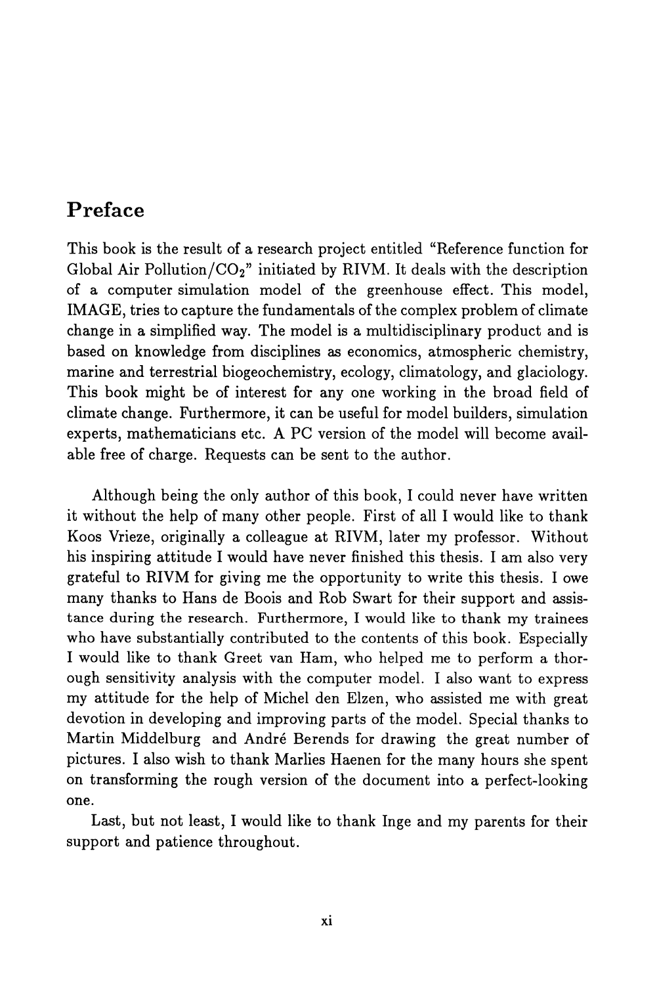### **Preface**

This book is the result of a research project entitled "Reference function for Global Air Pollution/ $CO<sub>2</sub>$ " initiated by RIVM. It deals with the description of a computer simulation model of the greenhouse effect. This model, IMAGE, tries to capture the fundamentals of the complex problem of climate change in a simplified way. The model is a multidisciplinary product and is based on knowledge from disciplines as economics, atmospheric chemistry, marine and terrestrial biogeochemistry, ecology, climatology, and glaciology. This book might be of interest for anyone working in the broad field of climate change. Furthermore, it can be useful for model builders, simulation experts, mathematicians etc. A PC version of the model will become available free of charge. Requests can be sent to the author.

Although being the only author of this book, I could never have written it without the help of many other people. First of all I would like to thank Koos Vrieze, originally a colleague at RIVM, later my professor. Without his inspiring attitude I would have never finished this thesis. I am also very grateful to RIVM for giving me the opportunity to write this thesis. lowe many thanks to Hans de Boois and Rob Swart for their support and assistance during the research. Furthermore, I would like to thank my trainees who have substantially contributed to the contents of this book. Especially I would like to thank Greet van Ham, who helped me to perform a thorough sensitivity analysis with the computer model. I also want to express my attitude for the help of Michel den Elzen, who assisted me with great devotion in developing and improving parts of the model. Special thanks to Martin Middelburg and Andre Berends for drawing the great number of pictures. I also wish to thank Marlies Haenen for the many hours she spent on transforming the rough version of the document into a perfect-looking one.

Last, but not least, I would like to thank Inge and my parents for their support and patience throughout.